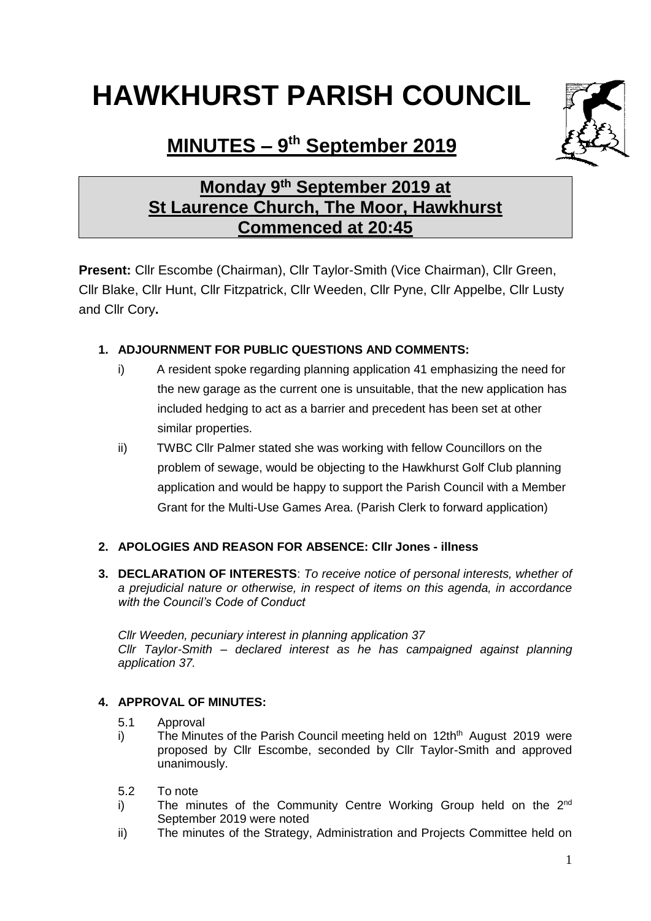# **HAWKHURST PARISH COUNCIL**



# **MINUTES – 9 th September 2019**

# **Monday 9th September 2019 at St Laurence Church, The Moor, Hawkhurst Commenced at 20:45**

**Present:** Cllr Escombe (Chairman), Cllr Taylor-Smith (Vice Chairman), Cllr Green, Cllr Blake, Cllr Hunt, Cllr Fitzpatrick, Cllr Weeden, Cllr Pyne, Cllr Appelbe, Cllr Lusty and Cllr Cory**.**

# **1. ADJOURNMENT FOR PUBLIC QUESTIONS AND COMMENTS:**

- i) A resident spoke regarding planning application 41 emphasizing the need for the new garage as the current one is unsuitable, that the new application has included hedging to act as a barrier and precedent has been set at other similar properties.
- ii) TWBC Cllr Palmer stated she was working with fellow Councillors on the problem of sewage, would be objecting to the Hawkhurst Golf Club planning application and would be happy to support the Parish Council with a Member Grant for the Multi-Use Games Area. (Parish Clerk to forward application)

## **2. APOLOGIES AND REASON FOR ABSENCE: Cllr Jones - illness**

**3. DECLARATION OF INTERESTS**: *To receive notice of personal interests, whether of a prejudicial nature or otherwise, in respect of items on this agenda, in accordance with the Council's Code of Conduct*

*Cllr Weeden, pecuniary interest in planning application 37 Cllr Taylor-Smith – declared interest as he has campaigned against planning application 37.*

## **4. APPROVAL OF MINUTES:**

- 5.1 Approval
- i) The Minutes of the Parish Council meeting held on  $12th<sup>th</sup>$  August 2019 were proposed by Cllr Escombe, seconded by Cllr Taylor-Smith and approved unanimously.
- 5.2 To note
- i) The minutes of the Community Centre Working Group held on the 2<sup>nd</sup> September 2019 were noted
- ii) The minutes of the Strategy, Administration and Projects Committee held on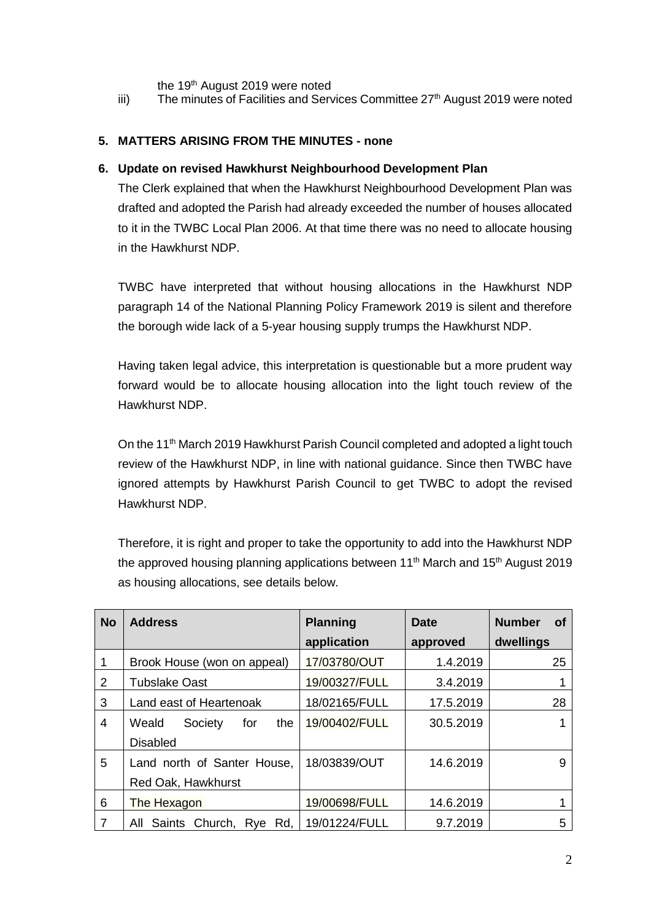the 19<sup>th</sup> August 2019 were noted

iii) The minutes of Facilities and Services Committee  $27<sup>th</sup>$  August 2019 were noted

#### **5. MATTERS ARISING FROM THE MINUTES - none**

#### **6. Update on revised Hawkhurst Neighbourhood Development Plan**

The Clerk explained that when the Hawkhurst Neighbourhood Development Plan was drafted and adopted the Parish had already exceeded the number of houses allocated to it in the TWBC Local Plan 2006. At that time there was no need to allocate housing in the Hawkhurst NDP.

TWBC have interpreted that without housing allocations in the Hawkhurst NDP paragraph 14 of the National Planning Policy Framework 2019 is silent and therefore the borough wide lack of a 5-year housing supply trumps the Hawkhurst NDP.

Having taken legal advice, this interpretation is questionable but a more prudent way forward would be to allocate housing allocation into the light touch review of the Hawkhurst NDP.

On the 11<sup>th</sup> March 2019 Hawkhurst Parish Council completed and adopted a light touch review of the Hawkhurst NDP, in line with national guidance. Since then TWBC have ignored attempts by Hawkhurst Parish Council to get TWBC to adopt the revised Hawkhurst NDP.

Therefore, it is right and proper to take the opportunity to add into the Hawkhurst NDP the approved housing planning applications between 11<sup>th</sup> March and 15<sup>th</sup> August 2019 as housing allocations, see details below.

| <b>No</b>      | <b>Address</b>                   | <b>Planning</b> | Date      | <b>Number</b><br><b>of</b> |
|----------------|----------------------------------|-----------------|-----------|----------------------------|
|                |                                  | application     | approved  | dwellings                  |
|                | Brook House (won on appeal)      | 17/03780/OUT    | 1.4.2019  | 25                         |
| 2              | <b>Tubslake Oast</b>             | 19/00327/FULL   | 3.4.2019  |                            |
| 3              | Land east of Heartenoak          | 18/02165/FULL   | 17.5.2019 | 28                         |
| $\overline{4}$ | Weald<br>Society<br>the<br>for   | 19/00402/FULL   | 30.5.2019 |                            |
|                | <b>Disabled</b>                  |                 |           |                            |
| 5              | Land north of Santer House,      | 18/03839/OUT    | 14.6.2019 | 9                          |
|                | Red Oak, Hawkhurst               |                 |           |                            |
| 6              | The Hexagon                      | 19/00698/FULL   | 14.6.2019 |                            |
| 7              | Rd.<br>Saints Church, Rye<br>All | 19/01224/FULL   | 9.7.2019  | 5                          |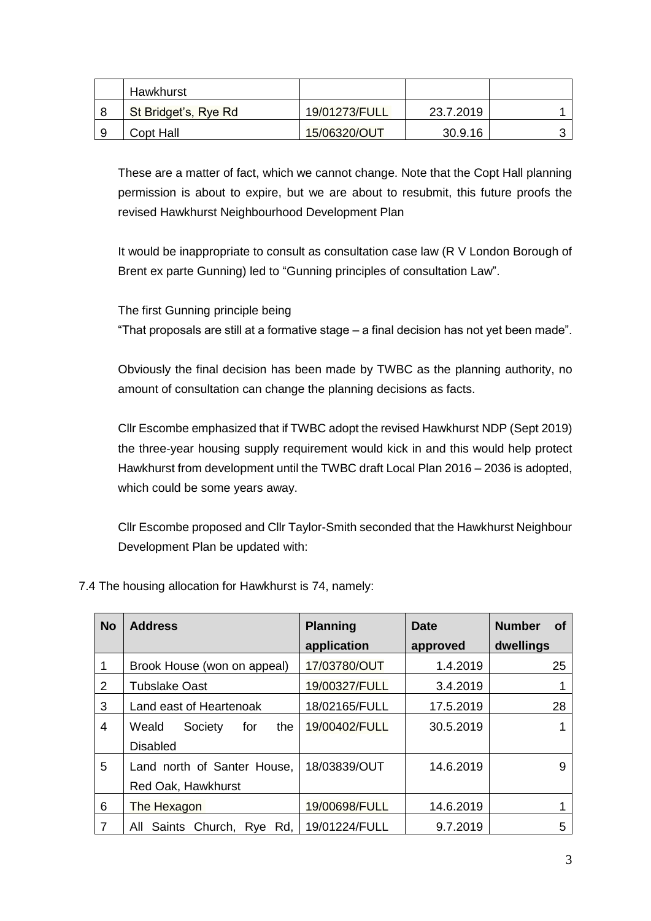| Hawkhurst            |               |           |  |
|----------------------|---------------|-----------|--|
| St Bridget's, Rye Rd | 19/01273/FULL | 23.7.2019 |  |
| Copt Hall            | 15/06320/OUT  | 30.9.16   |  |

These are a matter of fact, which we cannot change. Note that the Copt Hall planning permission is about to expire, but we are about to resubmit, this future proofs the revised Hawkhurst Neighbourhood Development Plan

It would be inappropriate to consult as consultation case law (R V London Borough of Brent ex parte Gunning) led to "Gunning principles of consultation Law".

The first Gunning principle being

"That proposals are still at a formative stage – a final decision has not yet been made".

Obviously the final decision has been made by TWBC as the planning authority, no amount of consultation can change the planning decisions as facts.

Cllr Escombe emphasized that if TWBC adopt the revised Hawkhurst NDP (Sept 2019) the three-year housing supply requirement would kick in and this would help protect Hawkhurst from development until the TWBC draft Local Plan 2016 – 2036 is adopted, which could be some years away.

Cllr Escombe proposed and Cllr Taylor-Smith seconded that the Hawkhurst Neighbour Development Plan be updated with:

| <b>No</b>      | <b>Address</b>                 | <b>Planning</b> | <b>Date</b> | <b>Number</b><br><b>of</b> |
|----------------|--------------------------------|-----------------|-------------|----------------------------|
|                |                                | application     | approved    | dwellings                  |
| 1              | Brook House (won on appeal)    | 17/03780/OUT    | 1.4.2019    | 25                         |
| $\overline{2}$ | <b>Tubslake Oast</b>           | 19/00327/FULL   | 3.4.2019    |                            |
| 3              | Land east of Heartenoak        | 18/02165/FULL   | 17.5.2019   | 28                         |
| 4              | Weald<br>Society<br>for<br>the | 19/00402/FULL   | 30.5.2019   |                            |
|                | <b>Disabled</b>                |                 |             |                            |
| 5              | Land north of Santer House,    | 18/03839/OUT    | 14.6.2019   | 9                          |
|                | Red Oak, Hawkhurst             |                 |             |                            |
| 6              | The Hexagon                    | 19/00698/FULL   | 14.6.2019   |                            |
| 7              | Saints Church, Rye Rd,<br>All  | 19/01224/FULL   | 9.7.2019    | 5                          |

7.4 The housing allocation for Hawkhurst is 74, namely: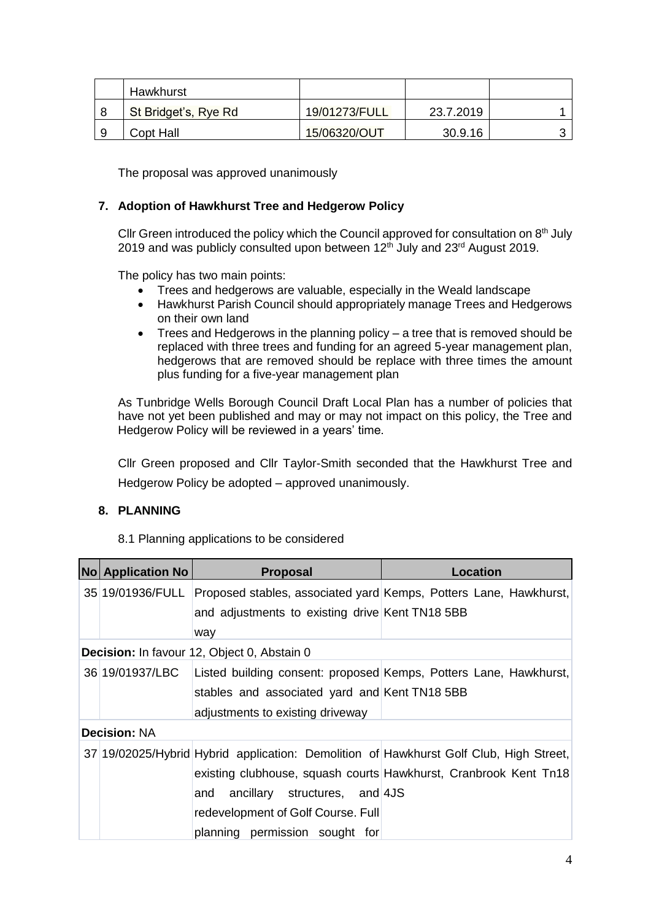| Hawkhurst            |               |           |  |
|----------------------|---------------|-----------|--|
| St Bridget's, Rye Rd | 19/01273/FULL | 23.7.2019 |  |
| Copt Hall            | 15/06320/OUT  | 30.9.16   |  |

The proposal was approved unanimously

#### **7. Adoption of Hawkhurst Tree and Hedgerow Policy**

Cllr Green introduced the policy which the Council approved for consultation on 8<sup>th</sup> July 2019 and was publicly consulted upon between  $12<sup>th</sup>$  July and  $23<sup>rd</sup>$  August 2019.

The policy has two main points:

- Trees and hedgerows are valuable, especially in the Weald landscape
- Hawkhurst Parish Council should appropriately manage Trees and Hedgerows on their own land
- Trees and Hedgerows in the planning policy a tree that is removed should be replaced with three trees and funding for an agreed 5-year management plan, hedgerows that are removed should be replace with three times the amount plus funding for a five-year management plan

As Tunbridge Wells Borough Council Draft Local Plan has a number of policies that have not yet been published and may or may not impact on this policy, the Tree and Hedgerow Policy will be reviewed in a years' time.

Cllr Green proposed and Cllr Taylor-Smith seconded that the Hawkhurst Tree and Hedgerow Policy be adopted – approved unanimously.

#### **8. PLANNING**

8.1 Planning applications to be considered

| <b>No Application No</b> | <b>Proposal</b>                                 | Location                                                                               |
|--------------------------|-------------------------------------------------|----------------------------------------------------------------------------------------|
|                          |                                                 | 35 19/01936/FULL Proposed stables, associated yard Kemps, Potters Lane, Hawkhurst,     |
|                          | and adjustments to existing drive Kent TN18 5BB |                                                                                        |
|                          | way                                             |                                                                                        |
|                          | Decision: In favour 12, Object 0, Abstain 0     |                                                                                        |
| 36 19/01937/LBC          |                                                 | Listed building consent: proposed Kemps, Potters Lane, Hawkhurst,                      |
|                          | stables and associated yard and Kent TN18 5BB   |                                                                                        |
|                          | adjustments to existing driveway                |                                                                                        |
| <b>Decision: NA</b>      |                                                 |                                                                                        |
|                          |                                                 | 37 19/02025/Hybrid Hybrid application: Demolition of Hawkhurst Golf Club, High Street, |
|                          |                                                 | existing clubhouse, squash courts Hawkhurst, Cranbrook Kent Tn18                       |
|                          | ancillary structures, and 4JS<br>and            |                                                                                        |
|                          | redevelopment of Golf Course. Full              |                                                                                        |
|                          | planning permission sought for                  |                                                                                        |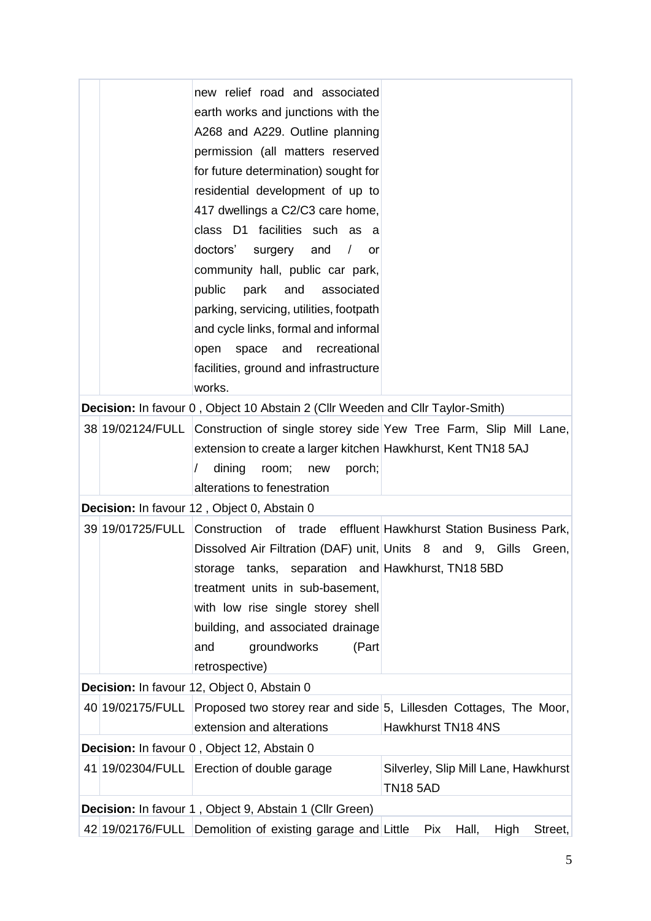|  | new relief road and associated                                                 |                                                                                     |
|--|--------------------------------------------------------------------------------|-------------------------------------------------------------------------------------|
|  | earth works and junctions with the                                             |                                                                                     |
|  | A268 and A229. Outline planning                                                |                                                                                     |
|  | permission (all matters reserved                                               |                                                                                     |
|  | for future determination) sought for                                           |                                                                                     |
|  | residential development of up to                                               |                                                                                     |
|  | 417 dwellings a C2/C3 care home,                                               |                                                                                     |
|  | class D1 facilities such as a                                                  |                                                                                     |
|  | doctors'<br>surgery<br>and<br>$\prime$<br>or                                   |                                                                                     |
|  | community hall, public car park,                                               |                                                                                     |
|  | public<br>park<br>and<br>associated                                            |                                                                                     |
|  | parking, servicing, utilities, footpath                                        |                                                                                     |
|  | and cycle links, formal and informal                                           |                                                                                     |
|  | recreational<br>space<br>and<br>open                                           |                                                                                     |
|  | facilities, ground and infrastructure                                          |                                                                                     |
|  | works.                                                                         |                                                                                     |
|  | Decision: In favour 0, Object 10 Abstain 2 (Cllr Weeden and Cllr Taylor-Smith) |                                                                                     |
|  |                                                                                | 38 19/02124/FULL Construction of single storey side Yew Tree Farm, Slip Mill Lane,  |
|  | extension to create a larger kitchen Hawkhurst, Kent TN18 5AJ                  |                                                                                     |
|  | dining<br>porch;<br>room;<br>new<br>alterations to fenestration                |                                                                                     |
|  | Decision: In favour 12, Object 0, Abstain 0                                    |                                                                                     |
|  |                                                                                | 39 19/01725/FULL Construction of trade effluent Hawkhurst Station Business Park,    |
|  | Dissolved Air Filtration (DAF) unit, Units 8 and 9, Gills                      | Green,                                                                              |
|  | storage tanks, separation and Hawkhurst, TN18 5BD                              |                                                                                     |
|  | treatment units in sub-basement,                                               |                                                                                     |
|  | with low rise single storey shell                                              |                                                                                     |
|  | building, and associated drainage                                              |                                                                                     |
|  | groundworks<br>and<br>(Part                                                    |                                                                                     |
|  | retrospective)                                                                 |                                                                                     |
|  | Decision: In favour 12, Object 0, Abstain 0                                    |                                                                                     |
|  |                                                                                | 40 19/02175/FULL Proposed two storey rear and side 5, Lillesden Cottages, The Moor, |
|  | extension and alterations                                                      | Hawkhurst TN18 4NS                                                                  |
|  | Decision: In favour 0, Object 12, Abstain 0                                    |                                                                                     |
|  | 41 19/02304/FULL Erection of double garage                                     | Silverley, Slip Mill Lane, Hawkhurst                                                |
|  |                                                                                | <b>TN18 5AD</b>                                                                     |
|  | Decision: In favour 1, Object 9, Abstain 1 (Cllr Green)                        |                                                                                     |
|  | 42 19/02176/FULL Demolition of existing garage and Little                      | Pix<br>Hall,<br>High<br>Street,                                                     |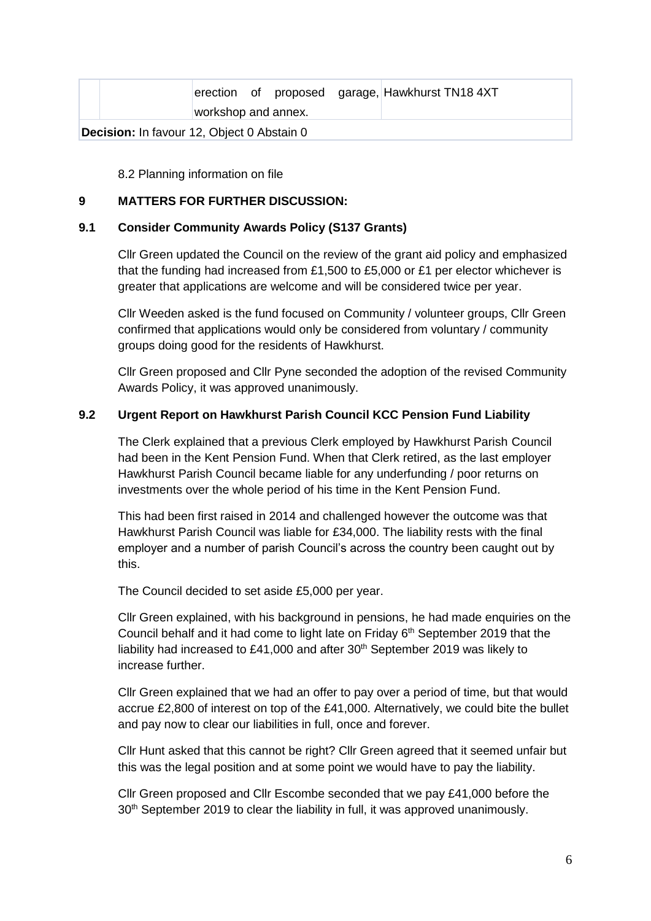|                                                   |                     |  |  | erection of proposed garage, Hawkhurst TN18 4XT |
|---------------------------------------------------|---------------------|--|--|-------------------------------------------------|
|                                                   | workshop and annex. |  |  |                                                 |
| <b>Decision:</b> In favour 12, Object 0 Abstain 0 |                     |  |  |                                                 |

8.2 Planning information on file

#### **9 MATTERS FOR FURTHER DISCUSSION:**

#### **9.1 Consider Community Awards Policy (S137 Grants)**

Cllr Green updated the Council on the review of the grant aid policy and emphasized that the funding had increased from £1,500 to £5,000 or £1 per elector whichever is greater that applications are welcome and will be considered twice per year.

Cllr Weeden asked is the fund focused on Community / volunteer groups, Cllr Green confirmed that applications would only be considered from voluntary / community groups doing good for the residents of Hawkhurst.

Cllr Green proposed and Cllr Pyne seconded the adoption of the revised Community Awards Policy, it was approved unanimously.

#### **9.2 Urgent Report on Hawkhurst Parish Council KCC Pension Fund Liability**

The Clerk explained that a previous Clerk employed by Hawkhurst Parish Council had been in the Kent Pension Fund. When that Clerk retired, as the last employer Hawkhurst Parish Council became liable for any underfunding / poor returns on investments over the whole period of his time in the Kent Pension Fund.

This had been first raised in 2014 and challenged however the outcome was that Hawkhurst Parish Council was liable for £34,000. The liability rests with the final employer and a number of parish Council's across the country been caught out by this.

The Council decided to set aside £5,000 per year.

Cllr Green explained, with his background in pensions, he had made enquiries on the Council behalf and it had come to light late on Friday 6<sup>th</sup> September 2019 that the liability had increased to £41,000 and after  $30<sup>th</sup>$  September 2019 was likely to increase further.

Cllr Green explained that we had an offer to pay over a period of time, but that would accrue £2,800 of interest on top of the £41,000. Alternatively, we could bite the bullet and pay now to clear our liabilities in full, once and forever.

Cllr Hunt asked that this cannot be right? Cllr Green agreed that it seemed unfair but this was the legal position and at some point we would have to pay the liability.

Cllr Green proposed and Cllr Escombe seconded that we pay £41,000 before the 30<sup>th</sup> September 2019 to clear the liability in full, it was approved unanimously.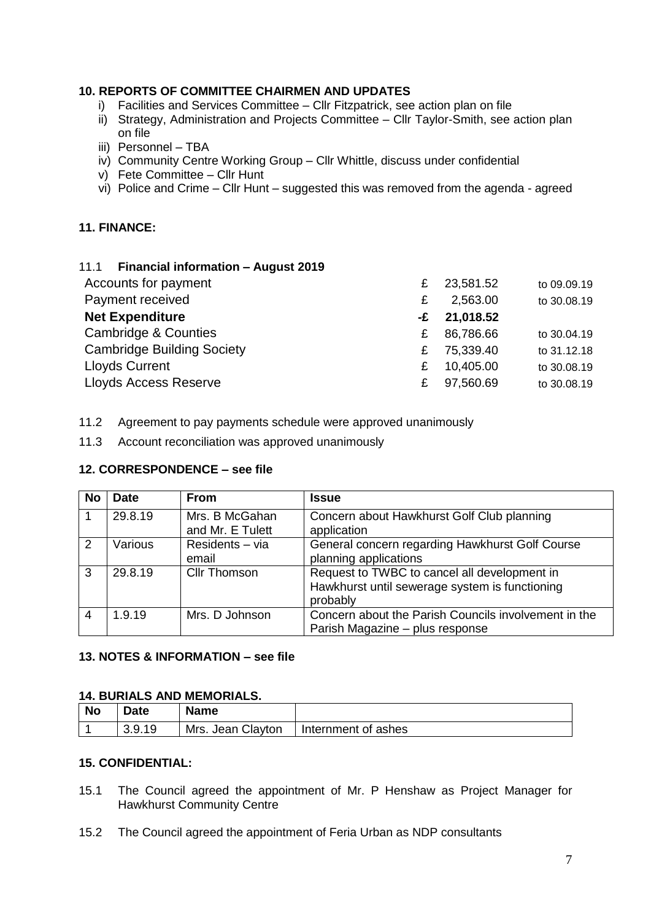#### **10. REPORTS OF COMMITTEE CHAIRMEN AND UPDATES**

- i) Facilities and Services Committee Cllr Fitzpatrick, see action plan on file
- ii) Strategy, Administration and Projects Committee Cllr Taylor-Smith, see action plan on file
- iii) Personnel TBA
- iv) Community Centre Working Group Cllr Whittle, discuss under confidential
- v) Fete Committee Cllr Hunt
- vi) Police and Crime Cllr Hunt suggested this was removed from the agenda agreed

#### **11. FINANCE:**

#### 11.1 **Financial information – August 2019**

| £ | 23,581.52 | to 09.09.19 |
|---|-----------|-------------|
| £ | 2,563.00  | to 30.08.19 |
|   | 21,018.52 |             |
| £ | 86,786.66 | to 30.04.19 |
| £ | 75,339.40 | to 31.12.18 |
| £ | 10,405.00 | to 30.08.19 |
| £ | 97,560.69 | to 30.08.19 |
|   |           | -£          |

11.2 Agreement to pay payments schedule were approved unanimously

11.3 Account reconciliation was approved unanimously

#### **12. CORRESPONDENCE – see file**

| <b>No</b> | <b>Date</b> | From                               | Issue                                                                                                      |
|-----------|-------------|------------------------------------|------------------------------------------------------------------------------------------------------------|
|           | 29.8.19     | Mrs. B McGahan<br>and Mr. E Tulett | Concern about Hawkhurst Golf Club planning<br>application                                                  |
| 2         | Various     | Residents - via<br>email           | General concern regarding Hawkhurst Golf Course<br>planning applications                                   |
| 3         | 29.8.19     | <b>Cllr Thomson</b>                | Request to TWBC to cancel all development in<br>Hawkhurst until sewerage system is functioning<br>probably |
| 4         | 1.9.19      | Mrs. D Johnson                     | Concern about the Parish Councils involvement in the<br>Parish Magazine - plus response                    |

#### **13. NOTES & INFORMATION – see file**

#### **14. BURIALS AND MEMORIALS.**

| <b>No</b> | <b>Date</b> | <b>Name</b>       |                     |
|-----------|-------------|-------------------|---------------------|
|           | 3.9.19      | Mrs. Jean Clayton | Internment of ashes |

#### **15. CONFIDENTIAL:**

- 15.1 The Council agreed the appointment of Mr. P Henshaw as Project Manager for Hawkhurst Community Centre
- 15.2 The Council agreed the appointment of Feria Urban as NDP consultants